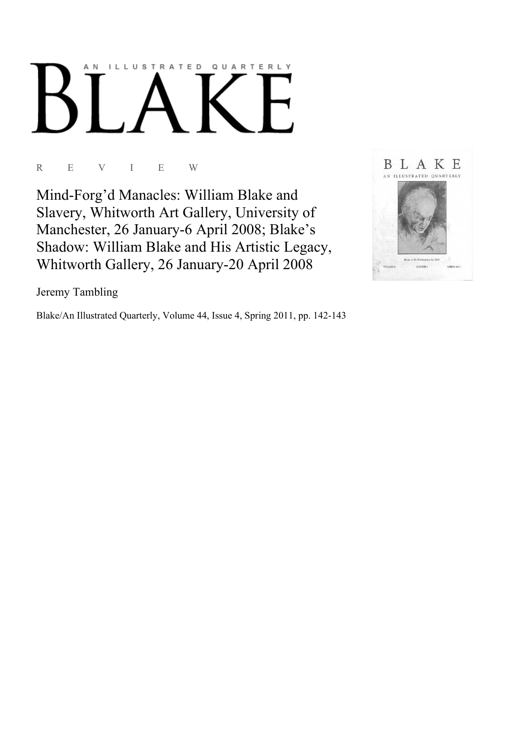# AN ILLUSTRATED QUARTERLY

# R E V I E W

Mind-Forg'd Manacles: William Blake and Slavery, Whitworth Art Gallery, University of Manchester, 26 January-6 April 2008; Blake's Shadow: William Blake and His Artistic Legacy, Whitworth Gallery, 26 January-20 April 2008



Jeremy Tambling

Blake/An Illustrated Quarterly, Volume 44, Issue 4, Spring 2011, pp. 142-143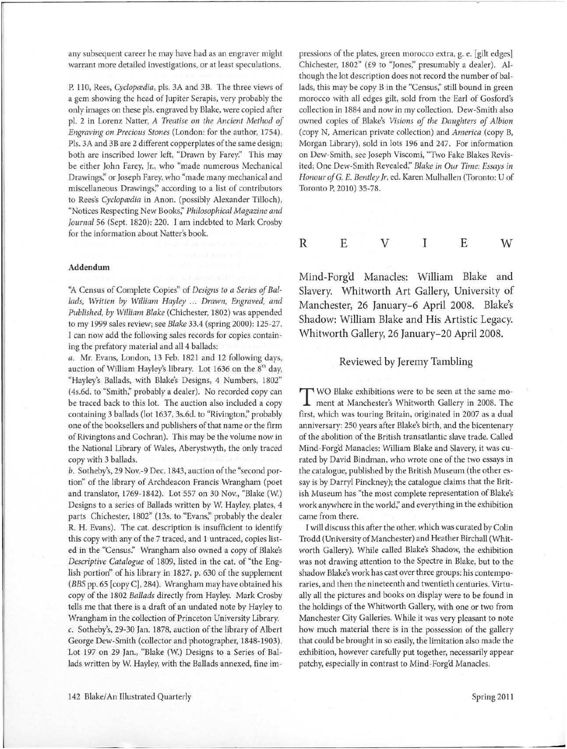any subsequent career he may have had as an engraver might warrant more detailed investigations, or at least speculations.

P. 110, Rees, *Cyclopcedia,* pls. 3A and 3B. The three views of a gem showing the head of Jupiter Serapis, very probably the only images on these pls. engraved by Blake, were copied after pl. 2 in Lorenz Natter, *A Treatise on the Ancient Method of Engraving on Precious Stones* (London: for the author, 1754). Pls. 3A and 3B are 2 different copperplates of the same design; both are inscribed lower left, "Drawn by Farey." This may be either John Farey, Jr., who "made numerous Mechanical Drawings;' or Joseph Farey, who "made many mechanical and miscellaneous Drawings;' according to a list of contributors to Rees's *Cyclopcedia* in Anon. (possibly Alexander Tilloch), "Notices Respecting New Books;' *Philosophical Magazine and Journal* 56 (Sept. 1820): 220. I am indebted to Mark Crosby for the information about Natter's book.

### **Addendum**

''A Census of Complete Copies" of *Designs to a Series of Ballads, Written by William Hayley ... Drawn, Engraved, and Published, by William Blake* (Chichester, 1802) was appended to my 1999 sales review; see *Blake* 33.4 (spring 2000): 125-27. I can now add the following sales records for copies containing the prefatory material and all 4 ballads:

*a.* Mr. Evans, London, 13 Feb. 1821 and 12 following days, auction of William Hayley's library. Lot 1636 on the 8<sup>th</sup> day, "Hayley's Ballads, with Blake's Designs, 4 Numbers, 1802" (4s.6d. to "Smith;' probably a dealer). No recorded copy can be traced back to this lot. The auction also included a copy containing 3 ballads (lot 1637, 3s.6d. to "Rivington;' probably one of the booksellers and publishers of that name or the firm of Rivingtons and Cochran). This may be the volume now in the National Library of Wales, Aberystwyth, the only traced copy with 3 ballads.

b. Sotheby's, 29 Nov.-9 Dec. 1843, auction of the "second portion" of the library of Archdeacon Francis Wrangham (poet and translator, 1769-1842). Lot 557 on 30 Nov., "Blake (W) Designs to a series of Ballads written by W. Hayley, plates, 4 parts Chichester, 1802" (13s. to "Evans;' probably the dealer R. H. Evans). The cat. description is insufficient to identify this copy with any of the 7 traced, and 1 untraced, copies listed in the "Census:' Wrangham also owned a copy of Blake's *Descriptive Catalogue* of 1809, listed in the cat. of "the English portion" of his library in 1827, p. 630 of the supplement *(BBS* pp. 65 [copy C], 284). Wrangham may have obtained his copy of the 1802 *Ballads* directly from Hayley. Mark Crosby tells me that there is a draft of an undated note by Hayley to Wrangham in the collection of Princeton University Library. c. Sotheby's, 29-30 Jan. 1878, auction of the library of Albert George Dew-Smith (collector and photographer, 1848-1903). Lot 197 on 29 Jan., "Blake (W) Designs to a Series of Ballads written by W. Hayley, with the Ballads annexed, fine impressions of the plates, green morocco extra, g. e. [gilt edges] Chichester, 1802" (£9 to "Jones;' presumably a dealer). Although the lot description does not record the number of ballads, this may be copy B in the "Census," still bound in green morocco with all edges gilt, sold from the Earl of Gosford's collection in 1884 and now in my collection. Dew-Smith also owned copies of Blake's *Visions of the Daughters of Albion*  (copy N, American private collection) and *America* (copy B, Morgan Library), sold in lots 196 and 247. For information on Dew-Smith, see Joseph Viscomi, "Two Fake Blakes Revisited; One Dew-Smith Revealed;' *Blake in Our Time: Essays in Honour of* G. *E. Bentley Jr,* ed. Karen Mulhallen (Toronto: U of Toronto P, 2010) 35-78.

R E V I E W

Mind-Forg'd Manacles: William Blake and Slavery. Whitworth Art Gallery, University of Manchester, 26 January-6 April 2008. Blake's Shadow: William Blake and His Artistic Legacy. Whitworth Gallery, 26 January-20 April 2008.

### Reviewed by Jeremy Tambling

T WO Blake exhibitions were to be seen at the same mo-ment at Manchester's Whitworth Gallery in 2008. The first, which was touring Britain, originated in 2007 as a dual anniversary: 250 years after Blake's birth, and the bicentenary of the abolition of the British transatlantic slave trade. Called Mind-Forg'd Manacles: William Blake and Slavery, it was curated by David Bindman, who wrote one of the two essays in the catalogue, published by the British Museum (the other essay is by Darryl Pinckney); the catalogue claims that the British Museum has "the most complete representation of Blake's work anywhere in the world;' and everything in the exhibition came from there.

I will discuss this after the other, which was curated by Colin Trodd (University of Manchester) and Heather Birchall (Whitworth Gallery). While called Blake's Shadow, the exhibition was not drawing attention to the Spectre in Blake, but to the shadow Blake's work has cast over three groups: his contemporaries, and then the nineteenth and twentieth centuries. Virtually all the pictures and books on display were to be found in the holdings of the Whitworth Gallery, with one or two from Manchester City Galleries. While it was very pleasant to note how much material there is in the possession of the gallery that could be brought in so easily, the limitation also made the exhibition, however carefully put together, necessarily appear patchy, especially in contrast to Mind-Forg'd Manacles.